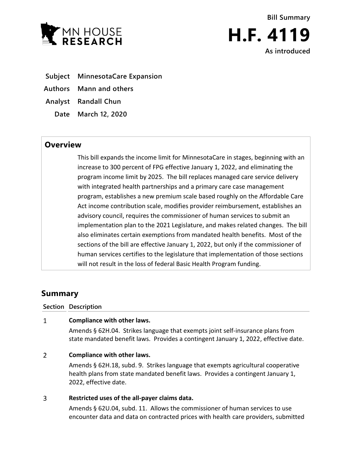

**Bill Summary H.F. 4119 As introduced**

- **Subject MinnesotaCare Expansion**
- **Authors Mann and others**
- **Analyst Randall Chun**
	- **Date March 12, 2020**

# **Overview**

This bill expands the income limit for MinnesotaCare in stages, beginning with an increase to 300 percent of FPG effective January 1, 2022, and eliminating the program income limit by 2025. The bill replaces managed care service delivery with integrated health partnerships and a primary care case management program, establishes a new premium scale based roughly on the Affordable Care Act income contribution scale, modifies provider reimbursement, establishes an advisory council, requires the commissioner of human services to submit an implementation plan to the 2021 Legislature, and makes related changes. The bill also eliminates certain exemptions from mandated health benefits. Most of the sections of the bill are effective January 1, 2022, but only if the commissioner of human services certifies to the legislature that implementation of those sections will not result in the loss of federal Basic Health Program funding.

# **Summary**

**Section Description**

## $\mathbf{1}$ **Compliance with other laws.**

Amends § 62H.04. Strikes language that exempts joint self-insurance plans from state mandated benefit laws. Provides a contingent January 1, 2022, effective date.

## $\overline{2}$ **Compliance with other laws.**

Amends § 62H.18, subd. 9. Strikes language that exempts agricultural cooperative health plans from state mandated benefit laws. Provides a contingent January 1, 2022, effective date.

## 3 **Restricted uses of the all-payer claims data.**

Amends § 62U.04, subd. 11. Allows the commissioner of human services to use encounter data and data on contracted prices with health care providers, submitted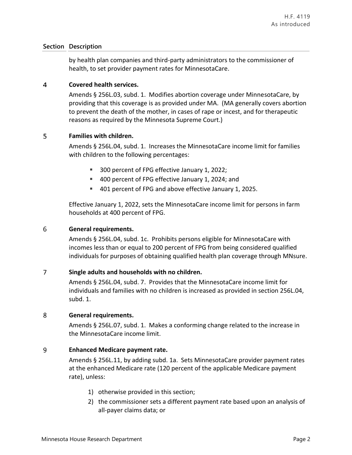by health plan companies and third-party administrators to the commissioner of health, to set provider payment rates for MinnesotaCare.

### $\overline{4}$ **Covered health services.**

Amends § 256L.03, subd. 1. Modifies abortion coverage under MinnesotaCare, by providing that this coverage is as provided under MA. (MA generally covers abortion to prevent the death of the mother, in cases of rape or incest, and for therapeutic reasons as required by the Minnesota Supreme Court.)

## 5 **Families with children.**

Amends § 256L.04, subd. 1. Increases the MinnesotaCare income limit for families with children to the following percentages:

- **300 percent of FPG effective January 1, 2022;**
- 400 percent of FPG effective January 1, 2024; and
- 401 percent of FPG and above effective January 1, 2025.

Effective January 1, 2022, sets the MinnesotaCare income limit for persons in farm households at 400 percent of FPG.

## 6 **General requirements.**

Amends § 256L.04, subd. 1c. Prohibits persons eligible for MinnesotaCare with incomes less than or equal to 200 percent of FPG from being considered qualified individuals for purposes of obtaining qualified health plan coverage through MNsure.

## $\overline{7}$ **Single adults and households with no children.**

Amends § 256L.04, subd. 7. Provides that the MinnesotaCare income limit for individuals and families with no children is increased as provided in section 256L.04, subd. 1.

## 8 **General requirements.**

Amends § 256L.07, subd. 1. Makes a conforming change related to the increase in the MinnesotaCare income limit.

## 9 **Enhanced Medicare payment rate.**

Amends § 256L.11, by adding subd. 1a. Sets MinnesotaCare provider payment rates at the enhanced Medicare rate (120 percent of the applicable Medicare payment rate), unless:

- 1) otherwise provided in this section;
- 2) the commissioner sets a different payment rate based upon an analysis of all-payer claims data; or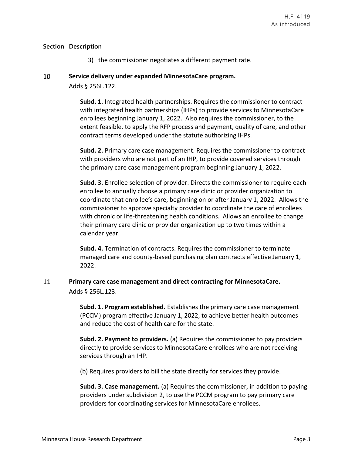3) the commissioner negotiates a different payment rate.

## 10 **Service delivery under expanded MinnesotaCare program.**

Adds § 256L.122.

**Subd. 1**. Integrated health partnerships. Requires the commissioner to contract with integrated health partnerships (IHPs) to provide services to MinnesotaCare enrollees beginning January 1, 2022. Also requires the commissioner, to the extent feasible, to apply the RFP process and payment, quality of care, and other contract terms developed under the statute authorizing IHPs.

**Subd. 2.** Primary care case management. Requires the commissioner to contract with providers who are not part of an IHP, to provide covered services through the primary care case management program beginning January 1, 2022.

**Subd. 3.** Enrollee selection of provider. Directs the commissioner to require each enrollee to annually choose a primary care clinic or provider organization to coordinate that enrollee's care, beginning on or after January 1, 2022. Allows the commissioner to approve specialty provider to coordinate the care of enrollees with chronic or life-threatening health conditions. Allows an enrollee to change their primary care clinic or provider organization up to two times within a calendar year.

**Subd. 4.** Termination of contracts. Requires the commissioner to terminate managed care and county-based purchasing plan contracts effective January 1, 2022.

## 11 **Primary care case management and direct contracting for MinnesotaCare.**  Adds § 256L.123.

**Subd. 1. Program established.** Establishes the primary care case management (PCCM) program effective January 1, 2022, to achieve better health outcomes and reduce the cost of health care for the state.

**Subd. 2. Payment to providers.** (a) Requires the commissioner to pay providers directly to provide services to MinnesotaCare enrollees who are not receiving services through an IHP.

(b) Requires providers to bill the state directly for services they provide.

**Subd. 3. Case management.** (a) Requires the commissioner, in addition to paying providers under subdivision 2, to use the PCCM program to pay primary care providers for coordinating services for MinnesotaCare enrollees.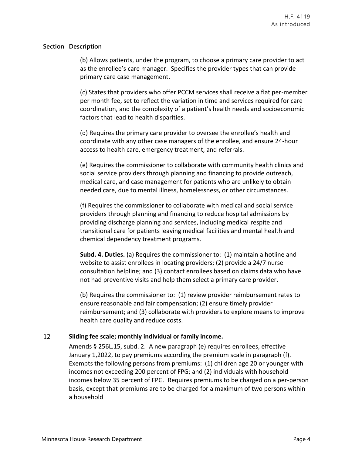(b) Allows patients, under the program, to choose a primary care provider to act as the enrollee's care manager. Specifies the provider types that can provide primary care case management.

(c) States that providers who offer PCCM services shall receive a flat per-member per month fee, set to reflect the variation in time and services required for care coordination, and the complexity of a patient's health needs and socioeconomic factors that lead to health disparities.

(d) Requires the primary care provider to oversee the enrollee's health and coordinate with any other case managers of the enrollee, and ensure 24-hour access to health care, emergency treatment, and referrals.

(e) Requires the commissioner to collaborate with community health clinics and social service providers through planning and financing to provide outreach, medical care, and case management for patients who are unlikely to obtain needed care, due to mental illness, homelessness, or other circumstances.

(f) Requires the commissioner to collaborate with medical and social service providers through planning and financing to reduce hospital admissions by providing discharge planning and services, including medical respite and transitional care for patients leaving medical facilities and mental health and chemical dependency treatment programs.

**Subd. 4. Duties.** (a) Requires the commissioner to: (1) maintain a hotline and website to assist enrollees in locating providers; (2) provide a 24/7 nurse consultation helpline; and (3) contact enrollees based on claims data who have not had preventive visits and help them select a primary care provider.

(b) Requires the commissioner to: (1) review provider reimbursement rates to ensure reasonable and fair compensation; (2) ensure timely provider reimbursement; and (3) collaborate with providers to explore means to improve health care quality and reduce costs.

## 12 **Sliding fee scale; monthly individual or family income.**

Amends § 256L.15, subd. 2. A new paragraph (e) requires enrollees, effective January 1,2022, to pay premiums according the premium scale in paragraph (f). Exempts the following persons from premiums: (1) children age 20 or younger with incomes not exceeding 200 percent of FPG; and (2) individuals with household incomes below 35 percent of FPG. Requires premiums to be charged on a per-person basis, except that premiums are to be charged for a maximum of two persons within a household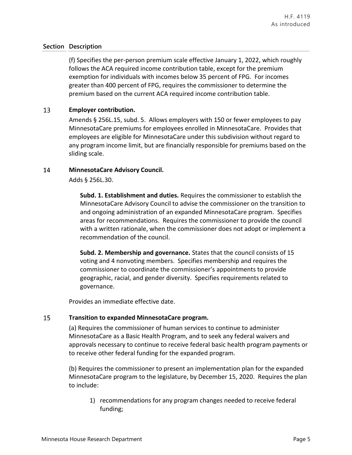(f) Specifies the per-person premium scale effective January 1, 2022, which roughly follows the ACA required income contribution table, except for the premium exemption for individuals with incomes below 35 percent of FPG. For incomes greater than 400 percent of FPG, requires the commissioner to determine the premium based on the current ACA required income contribution table.

## 13 **Employer contribution.**

Amends § 256L.15, subd. 5. Allows employers with 150 or fewer employees to pay MinnesotaCare premiums for employees enrolled in MinnesotaCare. Provides that employees are eligible for MinnesotaCare under this subdivision without regard to any program income limit, but are financially responsible for premiums based on the sliding scale.

### 14 **MinnesotaCare Advisory Council.**

Adds § 256L.30.

**Subd. 1. Establishment and duties.** Requires the commissioner to establish the MinnesotaCare Advisory Council to advise the commissioner on the transition to and ongoing administration of an expanded MinnesotaCare program. Specifies areas for recommendations. Requires the commissioner to provide the council with a written rationale, when the commissioner does not adopt or implement a recommendation of the council.

**Subd. 2. Membership and governance.** States that the council consists of 15 voting and 4 nonvoting members. Specifies membership and requires the commissioner to coordinate the commissioner's appointments to provide geographic, racial, and gender diversity. Specifies requirements related to governance.

Provides an immediate effective date.

## 15 **Transition to expanded MinnesotaCare program.**

(a) Requires the commissioner of human services to continue to administer MinnesotaCare as a Basic Health Program, and to seek any federal waivers and approvals necessary to continue to receive federal basic health program payments or to receive other federal funding for the expanded program.

(b) Requires the commissioner to present an implementation plan for the expanded MinnesotaCare program to the legislature, by December 15, 2020. Requires the plan to include:

1) recommendations for any program changes needed to receive federal funding;